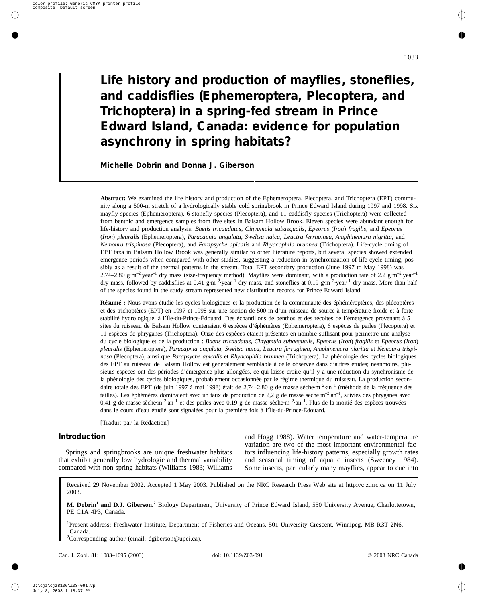# **Life history and production of mayflies, stoneflies, and caddisflies (Ephemeroptera, Plecoptera, and Trichoptera) in a spring-fed stream in Prince Edward Island, Canada: evidence for population asynchrony in spring habitats?**

# **Michelle Dobrin and Donna J. Giberson**

Abstract: We examined the life history and production of the Ephemeroptera, Plecoptera, and Trichoptera (EPT) community along a 500-m stretch of a hydrologically stable cold springbrook in Prince Edward Island during 1997 and 1998. Six mayfly species (Ephemeroptera), 6 stonefly species (Plecoptera), and 11 caddisfly species (Trichoptera) were collected from benthic and emergence samples from five sites in Balsam Hollow Brook. Eleven species were abundant enough for life-history and production analysis: *Baetis tricaudatus*, *Cinygmula subaequalis*, *Epeorus* (*Iron*) *fragilis*, and *Epeorus* (*Iron*) *pleuralis* (Ephemeroptera)*, Paracapnia angulata*, *Sweltsa naica*, *Leuctra ferruginea*, *Amphinemura nigritta*, and *Nemoura trispinosa* (Plecoptera), and *Parapsyche apicalis* and *Rhyacophila brunnea* (Trichoptera). Life-cycle timing of EPT taxa in Balsam Hollow Brook was generally similar to other literature reports, but several species showed extended emergence periods when compared with other studies, suggesting a reduction in synchronization of life-cycle timing, possibly as a result of the thermal patterns in the stream. Total EPT secondary production (June 1997 to May 1998) was 2.74–2.80 g·m<sup>-2</sup>·year<sup>-1</sup> dry mass (size-frequency method). Mayflies were dominant, with a production rate of 2.2 g·m<sup>-2</sup>·year<sup>-1</sup> dry mass, followed by caddisflies at 0.41 g·m<sup>-2</sup>·year<sup>-1</sup> dry mass, and stoneflies at 0.19 g·m<sup>-2</sup>·year<sup>-1</sup> dry mass. More than half of the species found in the study stream represented new distribution records for Prince Edward Island.

**Résumé :** Nous avons étudié les cycles biologiques et la production de la communauté des éphéméroptères, des plécoptères et des trichoptères (EPT) en 1997 et 1998 sur une section de 500 m d'un ruisseau de source à température froide et à forte stabilité hydrologique, à l'Île-du-Prince-Édouard. Des échantillons de benthos et des récoltes de l'émergence provenant à 5 sites du ruisseau de Balsam Hollow contenaient 6 espèces d'éphémères (Ephemeroptera), 6 espèces de perles (Plecoptera) et 11 espèces de phryganes (Trichoptera). Onze des espèces étaient présentes en nombre suffisant pour permettre une analyse du cycle biologique et de la production : *Baetis tricaudatus*, *Cinygmula subaequalis*, *Epeorus* (*Iron*) *fragilis* et *Epeorus* (*Iron*) *pleuralis* (Ephemeroptera), *Paracapnia angulata*, *Sweltsa naica*, *Leuctra ferruginea*, *Amphinemura nigritta* et *Nemoura trispinosa* (Plecoptera), ainsi que *Parapsyche apicalis* et *Rhyacophila brunnea* (Trichoptera). La phénologie des cycles biologiques des EPT au ruisseau de Balsam Hollow est généralement semblable à celle observée dans d'autres études; néanmoins, plusieurs espèces ont des périodes d'émergence plus allongées, ce qui laisse croire qu'il y a une réduction du synchronisme de la phénologie des cycles biologiques, probablement occasionnée par le régime thermique du ruisseau. La production secondaire totale des EPT (de juin 1997 à mai 1998) était de 2,74–2,80 g de masse sèche $m^{-2}$ ·an<sup>-1</sup> (méthode de la fréquence des tailles). Les éphémères dominaient avec un taux de production de 2,2 g de masse sèche $m^{-2}$ ·an<sup>-1</sup>, suivies des phryganes avec 0,41 g de masse sèche $m^{-2}$ ·an<sup>-1</sup> et des perles avec 0,19 g de masse sèche·m<sup>-2</sup>·an<sup>-1</sup>. Plus de la moitié des espèces trouvées dans le cours d'eau étudié sont signalées pour la première fois à l'Île-du-Prince-Édouard.

[Traduit par la Rédaction]

# **Introduction**

Springs and springbrooks are unique freshwater habitats that exhibit generally low hydrologic and thermal variability compared with non-spring habitats (Williams 1983; Williams

and Hogg 1988). Water temperature and water-temperature variation are two of the most important environmental factors influencing life-history patterns, especially growth rates and seasonal timing of aquatic insects (Sweeney 1984). Some insects, particularly many mayflies, appear to cue into

Received 29 November 2002. Accepted 1 May 2003. Published on the NRC Research Press Web site at http://cjz.nrc.ca on 11 July 2003.

**M. Dobrin<sup>1</sup> and D.J. Giberson.<sup>2</sup>** Biology Department, University of Prince Edward Island, 550 University Avenue, Charlottetown, PE C1A 4P3, Canada.

<sup>1</sup>Present address: Freshwater Institute, Department of Fisheries and Oceans, 501 University Crescent, Winnipeg, MB R3T 2N6, Canada.

<sup>2</sup>Corresponding author (email: dgiberson@upei.ca).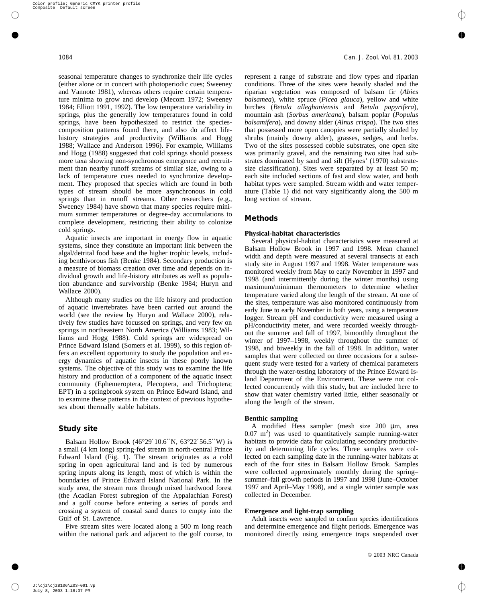seasonal temperature changes to synchronize their life cycles (either alone or in concert with photoperiodic cues; Sweeney and Vannote 1981), whereas others require certain temperature minima to grow and develop (Mecom 1972; Sweeney 1984; Elliott 1991, 1992). The low temperature variability in springs, plus the generally low temperatures found in cold springs, have been hypothesized to restrict the speciescomposition patterns found there, and also do affect lifehistory strategies and productivity (Williams and Hogg 1988; Wallace and Anderson 1996). For example, Williams and Hogg (1988) suggested that cold springs should possess more taxa showing non-synchronous emergence and recruitment than nearby runoff streams of similar size, owing to a lack of temperature cues needed to synchronize development. They proposed that species which are found in both types of stream should be more asynchronous in cold springs than in runoff streams. Other researchers (e.g., Sweeney 1984) have shown that many species require minimum summer temperatures or degree-day accumulations to complete development, restricting their ability to colonize cold springs.

Aquatic insects are important in energy flow in aquatic systems, since they constitute an important link between the algal/detrital food base and the higher trophic levels, including benthivorous fish (Benke 1984). Secondary production is a measure of biomass creation over time and depends on individual growth and life-history attributes as well as population abundance and survivorship (Benke 1984; Huryn and Wallace 2000).

Although many studies on the life history and production of aquatic invertebrates have been carried out around the world (see the review by Huryn and Wallace 2000), relatively few studies have focussed on springs, and very few on springs in northeastern North America (Williams 1983; Williams and Hogg 1988). Cold springs are widespread on Prince Edward Island (Somers et al. 1999), so this region offers an excellent opportunity to study the population and energy dynamics of aquatic insects in these poorly known systems. The objective of this study was to examine the life history and production of a component of the aquatic insect community (Ephemeroptera, Plecoptera, and Trichoptera; EPT) in a springbrook system on Prince Edward Island, and to examine these patterns in the context of previous hypotheses about thermally stable habitats.

# **Study site**

Balsam Hollow Brook (46°29′10.6′′N, 63°22′56.5′′W) is a small (4 km long) spring-fed stream in north-central Prince Edward Island (Fig. 1). The stream originates as a cold spring in open agricultural land and is fed by numerous spring inputs along its length, most of which is within the boundaries of Prince Edward Island National Park. In the study area, the stream runs through mixed hardwood forest (the Acadian Forest subregion of the Appalachian Forest) and a golf course before entering a series of ponds and crossing a system of coastal sand dunes to empty into the Gulf of St. Lawrence.

Five stream sites were located along a 500 m long reach within the national park and adjacent to the golf course, to represent a range of substrate and flow types and riparian conditions. Three of the sites were heavily shaded and the riparian vegetation was composed of balsam fir (*Abies balsamea*), white spruce (*Picea glauca*), yellow and white birches (*Betula alleghaniensis* and *Betula papyrifera*), mountain ash (*Sorbus americana*), balsam poplar (*Populus balsamifera*), and downy alder (*Alnus crispa*). The two sites that possessed more open canopies were partially shaded by shrubs (mainly downy alder), grasses, sedges, and herbs. Two of the sites possessed cobble substrates, one open site was primarily gravel, and the remaining two sites had substrates dominated by sand and silt (Hynes' (1970) substratesize classification). Sites were separated by at least 50 m; each site included sections of fast and slow water, and both habitat types were sampled. Stream width and water temperature (Table 1) did not vary significantly along the 500 m long section of stream.

# **Methods**

#### **Physical-habitat characteristics**

Several physical-habitat characteristics were measured at Balsam Hollow Brook in 1997 and 1998. Mean channel width and depth were measured at several transects at each study site in August 1997 and 1998. Water temperature was monitored weekly from May to early November in 1997 and 1998 (and intermittently during the winter months) using maximum/minimum thermometers to determine whether temperature varied along the length of the stream. At one of the sites, temperature was also monitored continuously from early June to early November in both years, using a temperature logger. Stream pH and conductivity were measured using a pH/conductivity meter, and were recorded weekly throughout the summer and fall of 1997, bimonthly throughout the winter of 1997–1998, weekly throughout the summer of 1998, and biweekly in the fall of 1998. In addition, water samples that were collected on three occasions for a subsequent study were tested for a variety of chemical parameters through the water-testing laboratory of the Prince Edward Island Department of the Environment. These were not collected concurrently with this study, but are included here to show that water chemistry varied little, either seasonally or along the length of the stream.

#### **Benthic sampling**

A modified Hess sampler (mesh size 200  $\mu$ m, area  $0.07$  m<sup>2</sup>) was used to quantitatively sample running-water habitats to provide data for calculating secondary productivity and determining life cycles. Three samples were collected on each sampling date in the running-water habitats at each of the four sites in Balsam Hollow Brook. Samples were collected approximately monthly during the spring– summer–fall growth periods in 1997 and 1998 (June–October 1997 and April–May 1998), and a single winter sample was collected in December.

# **Emergence and light-trap sampling**

Adult insects were sampled to confirm species identifications and determine emergence and flight periods. Emergence was monitored directly using emergence traps suspended over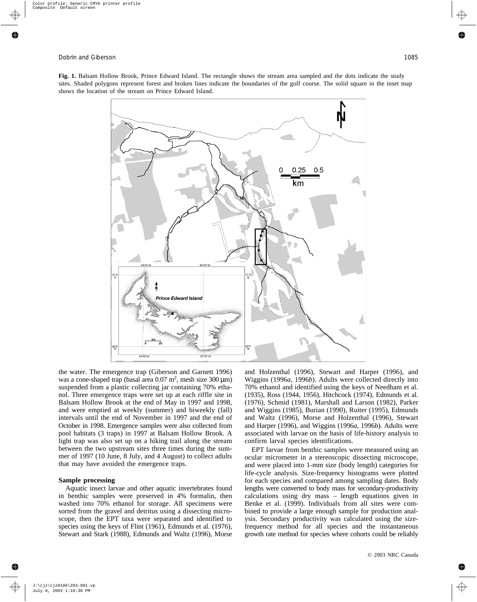**Fig. 1.** Balsam Hollow Brook, Prince Edward Island. The rectangle shows the stream area sampled and the dots indicate the study sites. Shaded polygons represent forest and broken lines indicate the boundaries of the golf course. The solid square in the inset map shows the location of the stream on Prince Edward Island.



the water. The emergence trap (Giberson and Garnett 1996) was a cone-shaped trap (basal area  $0.07 \text{ m}^2$ , mesh size  $300 \mu \text{m}$ ) suspended from a plastic collecting jar containing 70% ethanol. Three emergence traps were set up at each riffle site in Balsam Hollow Brook at the end of May in 1997 and 1998, and were emptied at weekly (summer) and biweekly (fall) intervals until the end of November in 1997 and the end of October in 1998. Emergence samples were also collected from pool habitats (3 traps) in 1997 at Balsam Hollow Brook. A light trap was also set up on a hiking trail along the stream between the two upstream sites three times during the summer of 1997 (10 June, 8 July, and 4 August) to collect adults that may have avoided the emergence traps.

#### **Sample processing**

Aquatic insect larvae and other aquatic invertebrates found in benthic samples were preserved in 4% formalin, then washed into 70% ethanol for storage. All specimens were sorted from the gravel and detritus using a dissecting microscope, then the EPT taxa were separated and identified to species using the keys of Flint (1961), Edmunds et al. (1976), Stewart and Stark (1988), Edmunds and Waltz (1996), Morse and Holzenthal (1996), Stewart and Harper (1996), and Wiggins (1996*a*, 1996*b*). Adults were collected directly into 70% ethanol and identified using the keys of Needham et al. (1935), Ross (1944, 1956), Hitchcock (1974), Edmunds et al. (1976), Schmid (1981), Marshall and Larson (1982), Parker and Wiggins (1985), Burian (1990), Ruiter (1995), Edmunds and Waltz (1996), Morse and Holzenthal (1996), Stewart and Harper (1996), and Wiggins (1996*a*, 1996*b*). Adults were associated with larvae on the basis of life-history analysis to confirm larval species identifications.

EPT larvae from benthic samples were measured using an ocular micrometer in a stereoscopic dissecting microscope, and were placed into 1-mm size (body length) categories for life-cycle analysis. Size-frequency histograms were plotted for each species and compared among sampling dates. Body lengths were converted to body mass for secondary-productivity calculations using dry mass – length equations given in Benke et al. (1999). Individuals from all sites were combined to provide a large enough sample for production analysis. Secondary productivity was calculated using the sizefrequency method for all species and the instantaneous growth rate method for species where cohorts could be reliably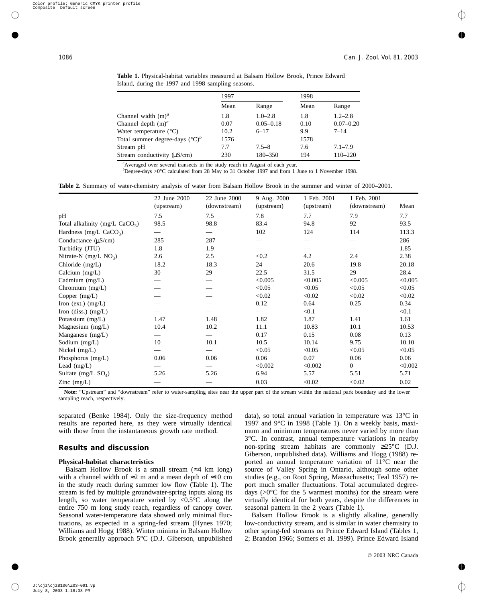|                                            | 1997 |               | 1998 |               |
|--------------------------------------------|------|---------------|------|---------------|
|                                            |      |               |      |               |
|                                            | Mean | Range         | Mean | Range         |
| Channel width $(m)^a$                      | 1.8  | $1.0 - 2.8$   | 1.8  | $1.2 - 2.8$   |
| Channel depth $(m)^a$                      | 0.07 | $0.05 - 0.18$ | 0.10 | $0.07 - 0.20$ |
| Water temperature $(^{\circ}C)$            | 10.2 | $6 - 17$      | 9.9  | $7 - 14$      |
| Total summer degree-days $({}^{\circ}C)^b$ | 1576 |               | 1578 |               |
| Stream pH                                  | 7.7  | $7.5 - 8$     | 7.6  | $7.1 - 7.9$   |
| Stream conductivity $(\mu S/cm)$           | 230  | 180-350       | 194  | 110-220       |

**Table 1.** Physical-habitat variables measured at Balsam Hollow Brook, Prince Edward Island, during the 1997 and 1998 sampling seasons.

<sup>a</sup> Averaged over several transects in the study reach in August of each year.

*b* Degree-days >0°C calculated from 28 May to 31 October 1997 and from 1 June to 1 November 1998.

**Table 2.** Summary of water-chemistry analysis of water from Balsam Hollow Brook in the summer and winter of 2000–2001.

|                                  | 22 June 2000 | 22 June 2000 | 9 Aug. 2000 | 1 Feb. 2001 | 1 Feb. 2001  |         |
|----------------------------------|--------------|--------------|-------------|-------------|--------------|---------|
|                                  | (upstream)   | (downstream) | (upstream)  | (upstream)  | (downstream) | Mean    |
| pH                               | 7.5          | 7.5          | 7.8         | 7.7         | 7.9          | 7.7     |
| Total alkalinity (mg/L $CaCO3$ ) | 98.5         | 98.8         | 83.4        | 94.8        | 92           | 93.5    |
| Hardness (mg/L $CaCO3$ )         |              |              | 102         | 124         | 114          | 113.3   |
| Conductance $(\mu S/cm)$         | 285          | 287          |             |             |              | 286     |
| Turbidity (JTU)                  | 1.8          | 1.9          |             |             |              | 1.85    |
| Nitrate-N $(mg/L NO3)$           | 2.6          | 2.5          | < 0.2       | 4.2         | 2.4          | 2.38    |
| Chloride (mg/L)                  | 18.2         | 18.3         | 24          | 20.6        | 19.8         | 20.18   |
| Calcium (mg/L)                   | 30           | 29           | 22.5        | 31.5        | 29           | 28.4    |
| Cadmium $(mg/L)$                 |              |              | < 0.005     | < 0.005     | < 0.005      | < 0.005 |
| Chromium $(mg/L)$                |              |              | < 0.05      | < 0.05      | < 0.05       | < 0.05  |
| Copper (mg/L)                    |              |              | < 0.02      | < 0.02      | < 0.02       | < 0.02  |
| Iron (ext.) $(mg/L)$             |              |              | 0.12        | 0.64        | 0.25         | 0.34    |
| Iron (diss.) $(mg/L)$            |              |              |             | < 0.1       |              | < 0.1   |
| Potassium (mg/L)                 | 1.47         | 1.48         | 1.82        | 1.87        | 1.41         | 1.61    |
| Magnesium $(mg/L)$               | 10.4         | 10.2         | 11.1        | 10.83       | 10.1         | 10.53   |
| Manganese $(mg/L)$               |              |              | 0.17        | 0.15        | 0.08         | 0.13    |
| Sodium $(mg/L)$                  | 10           | 10.1         | 10.5        | 10.14       | 9.75         | 10.10   |
| Nickel (mg/L)                    |              |              | < 0.05      | < 0.05      | < 0.05       | < 0.05  |
| Phosphorus (mg/L)                | 0.06         | 0.06         | 0.06        | 0.07        | 0.06         | 0.06    |
| Lead $(mg/L)$                    |              |              | < 0.002     | < 0.002     | $\Omega$     | < 0.002 |
| Sulfate (mg/L $SO_4$ )           | 5.26         | 5.26         | 6.94        | 5.57        | 5.51         | 5.71    |
| Zinc $(mg/L)$                    |              |              | 0.03        | < 0.02      | < 0.02       | 0.02    |

**Note:** "Upstream" and "downstream" refer to water-sampling sites near the upper part of the stream within the national park boundary and the lower sampling reach, respectively.

separated (Benke 1984). Only the size-frequency method results are reported here, as they were virtually identical with those from the instantaneous growth rate method.

# **Results and discussion**

#### **Physical-habitat characteristics**

Balsam Hollow Brook is a small stream  $(\approx 4 \text{ km} \text{ long})$ with a channel width of  $\approx 2$  m and a mean depth of  $\approx 10$  cm in the study reach during summer low flow (Table 1). The stream is fed by multiple groundwater-spring inputs along its length, so water temperature varied by <0.5°C along the entire 750 m long study reach, regardless of canopy cover. Seasonal water-temperature data showed only minimal fluctuations, as expected in a spring-fed stream (Hynes 1970; Williams and Hogg 1988). Winter minima in Balsam Hollow Brook generally approach 5°C (D.J. Giberson, unpublished data), so total annual variation in temperature was 13°C in 1997 and 9°C in 1998 (Table 1). On a weekly basis, maximum and minimum temperatures never varied by more than 3°C. In contrast, annual temperature variations in nearby non-spring stream habitats are commonly ≥25°C (D.J. Giberson, unpublished data). Williams and Hogg (1988) reported an annual temperature variation of 11°C near the source of Valley Spring in Ontario, although some other studies (e.g., on Root Spring, Massachusetts; Teal 1957) report much smaller fluctuations. Total accumulated degreedays ( $>0^{\circ}$ C for the 5 warmest months) for the stream were virtually identical for both years, despite the differences in seasonal pattern in the 2 years (Table 1).

Balsam Hollow Brook is a slightly alkaline, generally low-conductivity stream, and is similar in water chemistry to other spring-fed streams on Prince Edward Island (Tables 1, 2; Brandon 1966; Somers et al. 1999). Prince Edward Island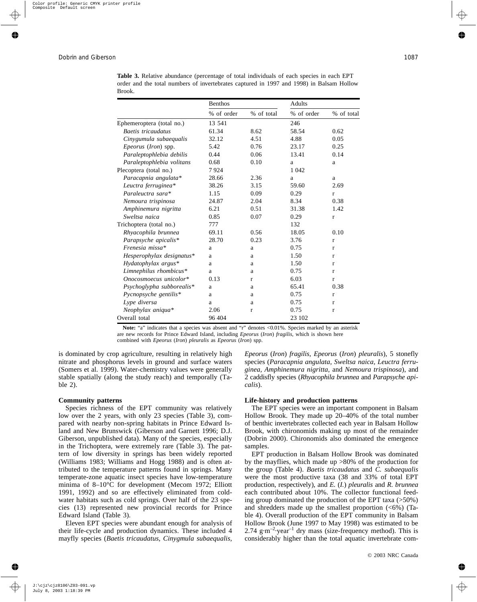|                           | <b>Benthos</b> |            | Adults     |              |
|---------------------------|----------------|------------|------------|--------------|
|                           | % of order     | % of total | % of order | % of total   |
| Ephemeroptera (total no.) | 13 541         |            | 246        |              |
| Baetis tricaudatus        | 61.34          | 8.62       | 58.54      | 0.62         |
| Cinygumula subaequalis    | 32.12          | 4.51       | 4.88       | 0.05         |
| Epeorus (Iron) spp.       | 5.42           | 0.76       | 23.17      | 0.25         |
| Paraleptophlebia debilis  | 0.44           | 0.06       | 13.41      | 0.14         |
| Paraleptophlebia volitans | 0.68           | 0.10       | a          | a            |
| Plecoptera (total no.)    | 7924           |            | 1 0 4 2    |              |
| Paracapnia angulata*      | 28.66          | 2.36       | a          | a            |
| Leuctra ferruginea*       | 38.26          | 3.15       | 59.60      | 2.69         |
| Paraleuctra sara*         | 1.15           | 0.09       | 0.29       | $\mathbf{r}$ |
| Nemoura trispinosa        | 24.87          | 2.04       | 8.34       | 0.38         |
| Amphinemura nigritta      | 6.21           | 0.51       | 31.38      | 1.42         |
| Sweltsa naica             | 0.85           | 0.07       | 0.29       | $\mathbf{r}$ |
| Trichoptera (total no.)   | 777            |            | 132        |              |
| Rhyacophila brunnea       | 69.11          | 0.56       | 18.05      | 0.10         |
| Parapsyche apicalis*      | 28.70          | 0.23       | 3.76       | $\mathbf{r}$ |
| Frenesia missa*           | a              | a          | 0.75       | $\mathbf{r}$ |
| Hesperophylax designatus* | a              | a          | 1.50       | $\mathbf{r}$ |
| $Hydatophylax$ argus*     | a              | a          | 1.50       | $\mathbf{r}$ |
| Limnephilus rhombicus*    | a              | a          | 0.75       | $\mathbf{r}$ |
| Onocosmoecus unicolor*    | 0.13           | r          | 6.03       | $\mathbf{r}$ |
| Psychoglypha subborealis* | a              | a          | 65.41      | 0.38         |
| Pycnopsyche gentilis*     | a              | a          | 0.75       | $\mathbf{r}$ |
| Lype diversa              | a              | a          | 0.75       | $\mathbf{r}$ |
| $Neophylax$ aniqua*       | 2.06           | r          | 0.75       | $\mathbf r$  |
| Overall total             | 96 404         |            | 23 102     |              |

**Table 3.** Relative abundance (percentage of total individuals of each species in each EPT order and the total numbers of invertebrates captured in 1997 and 1998) in Balsam Hollow Brook.

Note: "a" indicates that a species was absent and "r" denotes <0.01%. Species marked by an asterisk are new records for Prince Edward Island, including *Epeorus* (*Iron*) *fragilis*, which is shown here combined with *Epeorus* (*Iron*) *pleuralis* as *Epeorus* (*Iron*) spp.

is dominated by crop agriculture, resulting in relatively high nitrate and phosphorus levels in ground and surface waters (Somers et al. 1999). Water-chemistry values were generally stable spatially (along the study reach) and temporally (Table 2).

#### **Community patterns**

Species richness of the EPT community was relatively low over the 2 years, with only 23 species (Table 3), compared with nearby non-spring habitats in Prince Edward Island and New Brunswick (Giberson and Garnett 1996; D.J. Giberson, unpublished data). Many of the species, especially in the Trichoptera, were extremely rare (Table 3). The pattern of low diversity in springs has been widely reported (Williams 1983; Williams and Hogg 1988) and is often attributed to the temperature patterns found in springs. Many temperate-zone aquatic insect species have low-temperature minima of 8–10°C for development (Mecom 1972; Elliott 1991, 1992) and so are effectively eliminated from coldwater habitats such as cold springs. Over half of the 23 species (13) represented new provincial records for Prince Edward Island (Table 3).

Eleven EPT species were abundant enough for analysis of their life-cycle and production dynamics. These included 4 mayfly species (*Baetis tricaudatus, Cinygmula subaequalis,* *Epeorus* (*Iron*) *fragilis, Epeorus* (*Iron*) *pleuralis*), 5 stonefly species (*Paracapnia angulata, Sweltsa naica, Leuctra ferruginea, Amphinemura nigritta,* and *Nemoura trispinosa*), and 2 caddisfly species (*Rhyacophila brunnea* and *Parapsyche apicalis*).

#### **Life-history and production patterns**

The EPT species were an important component in Balsam Hollow Brook. They made up 20–40% of the total number of benthic invertebrates collected each year in Balsam Hollow Brook, with chironomids making up most of the remainder (Dobrin 2000). Chironomids also dominated the emergence samples.

EPT production in Balsam Hollow Brook was dominated by the mayflies, which made up >80% of the production for the group (Table 4). *Baetis tricaudatus* and *C. subaequalis* were the most productive taxa (38 and 33% of total EPT production, respectively), and *E.* (*I.*) *pleuralis* and *R. brunnea* each contributed about 10%. The collector functional feeding group dominated the production of the EPT taxa (>50%) and shredders made up the smallest proportion  $(<6\%)$  (Table 4). Overall production of the EPT community in Balsam Hollow Brook (June 1997 to May 1998) was estimated to be 2.74  $g \cdot m^{-2}$ ·year<sup>-1</sup> dry mass (size-frequency method). This is considerably higher than the total aquatic invertebrate com-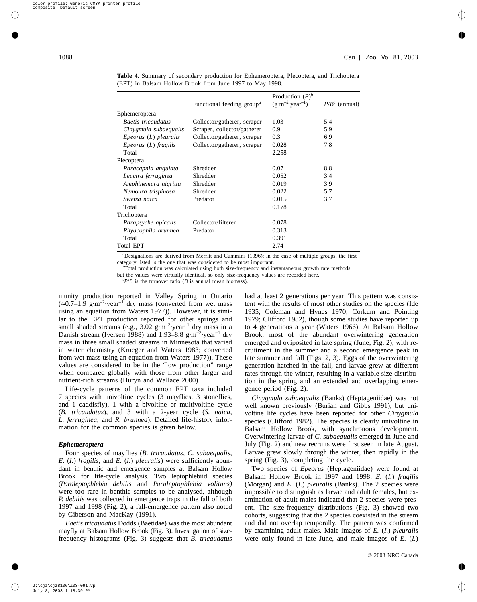|                         |                                                    | Production $(P)^b$                 |                 |
|-------------------------|----------------------------------------------------|------------------------------------|-----------------|
|                         | Functional feeding group <sup><math>a</math></sup> | $(g \cdot m^{-2} \cdot year^{-1})$ | $P/Bc$ (annual) |
| Ephemeroptera           |                                                    |                                    |                 |
| Baetis tricaudatus      | Collector/gatherer, scraper                        | 1.03                               | 5.4             |
| Cinygmula subaequalis   | Scraper, collector/gatherer                        | 0.9                                | 5.9             |
| Epeorus (I.) pleuralis  | Collector/gatherer, scraper                        | 0.3                                | 6.9             |
| Epeorus $(I.)$ fragilis | Collector/gatherer, scraper                        | 0.028                              | 7.8             |
| Total                   |                                                    | 2.258                              |                 |
| Plecoptera              |                                                    |                                    |                 |
| Paracapnia angulata     | Shredder                                           | 0.07                               | 8.8             |
| Leuctra ferruginea      | Shredder                                           | 0.052                              | 3.4             |
| Amphinemura nigritta    | Shredder                                           | 0.019                              | 3.9             |
| Nemoura trispinosa      | Shredder                                           | 0.022                              | 5.7             |
| Swetsa naica            | Predator                                           | 0.015                              | 3.7             |
| Total                   |                                                    | 0.178                              |                 |
| Trichoptera             |                                                    |                                    |                 |
| Parapsyche apicalis     | Collector/filterer                                 | 0.078                              |                 |
| Rhyacophila brunnea     | Predator                                           | 0.313                              |                 |
| Total                   |                                                    | 0.391                              |                 |
| Total EPT               |                                                    | 2.74                               |                 |

**Table 4.** Summary of secondary production for Ephemeroptera, Plecoptera, and Trichoptera (EPT) in Balsam Hollow Brook from June 1997 to May 1998.

*a* Designations are derived from Merritt and Cummins (1996); in the case of multiple groups, the first category listed is the one that was considered to be most important.

*b* Total production was calculated using both size-frequency and instantaneous growth rate methods,

but the values were virtually identical, so only size-frequency values are recorded here.

 $c$ *P*/*B* is the turnover ratio (*B* is annual mean biomass).

munity production reported in Valley Spring in Ontario  $\approx 0.7$ –1.9 g⋅m<sup>-2</sup>⋅year<sup>-1</sup> dry mass (converted from wet mass using an equation from Waters 1977)). However, it is similar to the EPT production reported for other springs and small shaded streams (e.g.,  $3.02$  g·m<sup>-2</sup>·year<sup>-1</sup> dry mass in a Danish stream (Iversen 1988) and 1.93–8.8  $g \cdot m^{-2}$ ·year<sup>-1</sup> dry mass in three small shaded streams in Minnesota that varied in water chemistry (Krueger and Waters 1983; converted from wet mass using an equation from Waters 1977)). These values are considered to be in the "low production" range when compared globally with those from other larger and nutrient-rich streams (Huryn and Wallace 2000).

Life-cycle patterns of the common EPT taxa included 7 species with univoltine cycles (3 mayflies, 3 stoneflies, and 1 caddisfly), 1 with a bivoltine or multivoltine cycle (*B. tricaudatus*), and 3 with a 2-year cycle (*S. naica, L. ferruginea*, and *R. brunnea*). Detailed life-history information for the common species is given below.

#### *Ephemeroptera*

Four species of mayflies (*B. tricaudatus*, *C. subaequalis*, *E.* (*I.*) *fragilis*, and *E.* (*I.*) *pleuralis*) were sufficiently abundant in benthic and emergence samples at Balsam Hollow Brook for life-cycle analysis. Two leptophlebiid species (*Paraleptophlebia debilis* and *Paraleptophlebia volitans)* were too rare in benthic samples to be analysed, although *P. debilis* was collected in emergence traps in the fall of both 1997 and 1998 (Fig. 2), a fall-emergence pattern also noted by Giberson and MacKay (1991).

*Baetis tricaudatus* Dodds (Baetidae) was the most abundant mayfly at Balsam Hollow Brook (Fig. 3). Investigation of sizefrequency histograms (Fig. 3) suggests that *B. tricaudatus* had at least 2 generations per year. This pattern was consistent with the results of most other studies on the species (Ide 1935; Coleman and Hynes 1970; Corkum and Pointing 1979; Clifford 1982), though some studies have reported up to 4 generations a year (Waters 1966). At Balsam Hollow Brook, most of the abundant overwintering generation emerged and oviposited in late spring (June; Fig. 2), with recruitment in the summer and a second emergence peak in late summer and fall (Figs. 2, 3). Eggs of the overwintering generation hatched in the fall, and larvae grew at different rates through the winter, resulting in a variable size distribution in the spring and an extended and overlapping emergence period (Fig. 2).

*Cinygmula subaequalis* (Banks) (Heptageniidae) was not well known previously (Burian and Gibbs 1991), but univoltine life cycles have been reported for other *Cinygmula* species (Clifford 1982). The species is clearly univoltine in Balsam Hollow Brook, with synchronous development. Overwintering larvae of *C. subaequalis* emerged in June and July (Fig. 2) and new recruits were first seen in late August. Larvae grew slowly through the winter, then rapidly in the spring (Fig. 3), completing the cycle.

Two species of *Epeorus* (Heptageniidae) were found at Balsam Hollow Brook in 1997 and 1998: *E.* (*I.*) *fragilis* (Morgan) and *E.* (*I.*) *pleuralis* (Banks). The 2 species were impossible to distinguish as larvae and adult females, but examination of adult males indicated that 2 species were present. The size-frequency distributions (Fig. 3) showed two cohorts, suggesting that the 2 species coexisted in the stream and did not overlap temporally. The pattern was confirmed by examining adult males. Male imagos of *E.* (*I.*) *pleuralis* were only found in late June, and male imagos of *E.* (*I.*)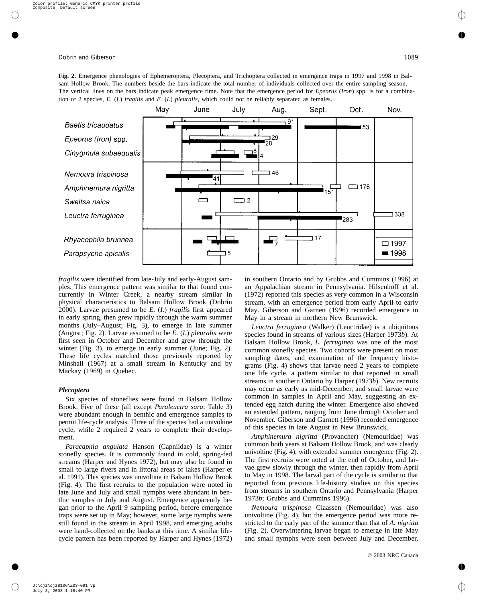**Fig. 2.** Emergence phenologies of Ephemeroptera, Plecoptera, and Trichoptera collected in emergence traps in 1997 and 1998 in Balsam Hollow Brook. The numbers beside the bars indicate the total number of individuals collected over the entire sampling season. The vertical lines on the bars indicate peak emergence time. Note that the emergence period for *Epeorus* (*Iron*) spp. is for a combination of 2 species, *E.* (*I.*) *fragilis* and *E.* (*I.*) *pleuralis*, which could not be reliably separated as females.



*fragilis* were identified from late-July and early-August samples. This emergence pattern was similar to that found concurrently in Winter Creek, a nearby stream similar in physical characteristics to Balsam Hollow Brook (Dobrin 2000). Larvae presumed to be *E.* (*I.*) *fragilis* first appeared in early spring, then grew rapidly through the warm summer months (July–August; Fig. 3), to emerge in late summer (August; Fig. 2). Larvae assumed to be *E.* (*I.*) *pleuralis* were first seen in October and December and grew through the winter (Fig. 3), to emerge in early summer (June; Fig. 2). These life cycles matched those previously reported by Minshall (1967) at a small stream in Kentucky and by Mackay (1969) in Quebec.

#### *Plecoptera*

Six species of stoneflies were found in Balsam Hollow Brook. Five of these (all except *Paraleuctra sara*; Table 3) were abundant enough in benthic and emergence samples to permit life-cycle analysis. Three of the species had a univoltine cycle, while 2 required 2 years to complete their development.

*Paracapnia angulata* Hanson (Capniidae) is a winter stonefly species. It is commonly found in cold, spring-fed streams (Harper and Hynes 1972), but may also be found in small to large rivers and in littoral areas of lakes (Harper et al. 1991). This species was univoltine in Balsam Hollow Brook (Fig. 4). The first recruits to the population were noted in late June and July and small nymphs were abundant in benthic samples in July and August. Emergence apparently began prior to the April 9 sampling period, before emergence traps were set up in May; however, some large nymphs were still found in the stream in April 1998, and emerging adults were hand-collected on the banks at this time. A similar lifecycle pattern has been reported by Harper and Hynes (1972) in southern Ontario and by Grubbs and Cummins (1996) at an Appalachian stream in Pennsylvania. Hilsenhoff et al. (1972) reported this species as very common in a Wisconsin stream, with an emergence period from early April to early May. Giberson and Garnett (1996) recorded emergence in May in a stream in northern New Brunswick.

*Leuctra ferruginea* (Walker) (Leuctridae) is a ubiquitous species found in streams of various sizes (Harper 1973*b*). At Balsam Hollow Brook, *L. ferruginea* was one of the most common stonefly species. Two cohorts were present on most sampling dates, and examination of the frequency histograms (Fig. 4) shows that larvae need 2 years to complete one life cycle, a pattern similar to that reported in small streams in southern Ontario by Harper (1973*b*). New recruits may occur as early as mid-December, and small larvae were common in samples in April and May, suggesting an extended egg hatch during the winter. Emergence also showed an extended pattern, ranging from June through October and November. Giberson and Garnett (1996) recorded emergence of this species in late August in New Brunswick.

*Amphinemura nigritta* (Provancher) (Nemouridae) was common both years at Balsam Hollow Brook, and was clearly univoltine (Fig. 4), with extended summer emergence (Fig. 2). The first recruits were noted at the end of October, and larvae grew slowly through the winter, then rapidly from April to May in 1998. The larval part of the cycle is similar to that reported from previous life-history studies on this species from streams in southern Ontario and Pennsylvania (Harper 1973*b*; Grubbs and Cummins 1996).

*Nemoura trispinosa* Claassen (Nemouridae) was also univoltine (Fig. 4), but the emergence period was more restricted to the early part of the summer than that of *A. nigritta* (Fig. 2). Overwintering larvae began to emerge in late May and small nymphs were seen between July and December,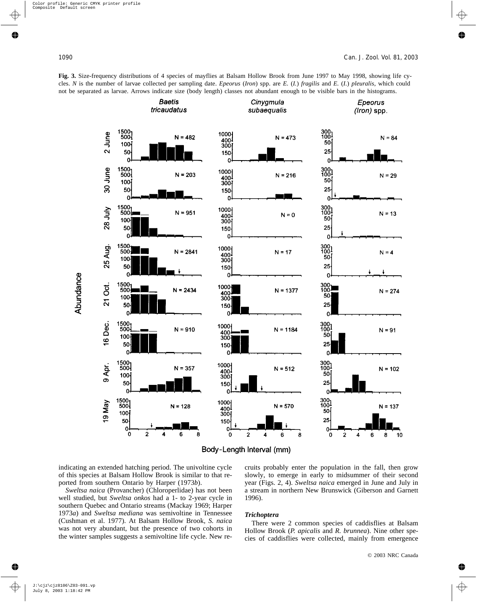Abundance

**Fig. 3.** Size-frequency distributions of 4 species of mayflies at Balsam Hollow Brook from June 1997 to May 1998, showing life cycles. *N* is the number of larvae collected per sampling date. *Epeorus* (*Iron*) spp. are *E.* (*I.*) *fragilis* and *E.* (*I.*) *pleuralis*, which could not be separated as larvae. Arrows indicate size (body length) classes not abundant enough to be visible bars in the histograms.





indicating an extended hatching period. The univoltine cycle of this species at Balsam Hollow Brook is similar to that reported from southern Ontario by Harper (1973*b*).

*Sweltsa naica* (Provancher) (Chloroperlidae) has not been well studied, but *Sweltsa onkos* had a 1- to 2-year cycle in southern Quebec and Ontario streams (Mackay 1969; Harper 1973*a*) and *Sweltsa mediana* was semivoltine in Tennessee (Cushman et al. 1977). At Balsam Hollow Brook, *S. naica* was not very abundant, but the presence of two cohorts in the winter samples suggests a semivoltine life cycle. New recruits probably enter the population in the fall, then grow slowly, to emerge in early to midsummer of their second year (Figs. 2, 4). *Sweltsa naica* emerged in June and July in a stream in northern New Brunswick (Giberson and Garnett 1996).

#### *Trichoptera*

There were 2 common species of caddisflies at Balsam Hollow Brook (*P. apicalis* and *R. brunnea*). Nine other species of caddisflies were collected, mainly from emergence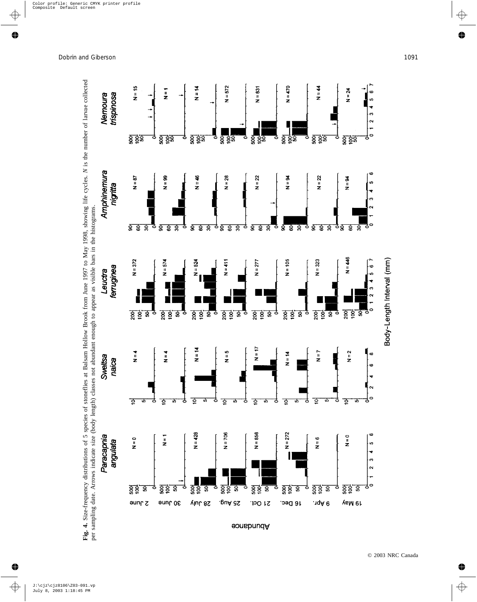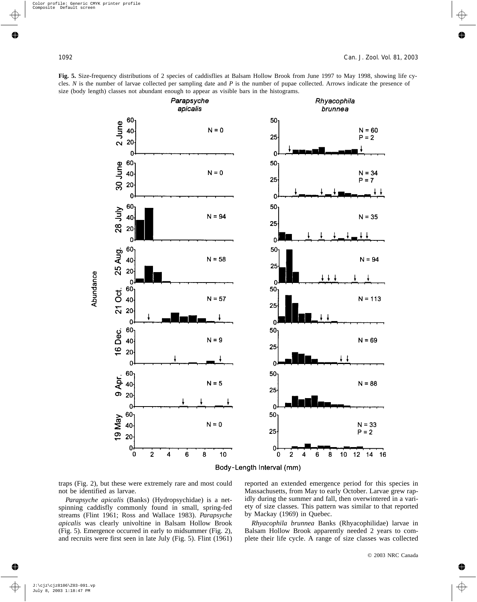





traps (Fig. 2), but these were extremely rare and most could not be identified as larvae.

*Parapsyche apicalis* (Banks) (Hydropsychidae) is a netspinning caddisfly commonly found in small, spring-fed streams (Flint 1961; Ross and Wallace 1983). *Parapsyche apicalis* was clearly univoltine in Balsam Hollow Brook (Fig. 5). Emergence occurred in early to midsummer (Fig. 2), and recruits were first seen in late July (Fig. 5). Flint (1961) reported an extended emergence period for this species in Massachusetts, from May to early October. Larvae grew rapidly during the summer and fall, then overwintered in a variety of size classes. This pattern was similar to that reported by Mackay (1969) in Quebec.

*Rhyacophila brunnea* Banks (Rhyacophilidae) larvae in Balsam Hollow Brook apparently needed 2 years to complete their life cycle. A range of size classes was collected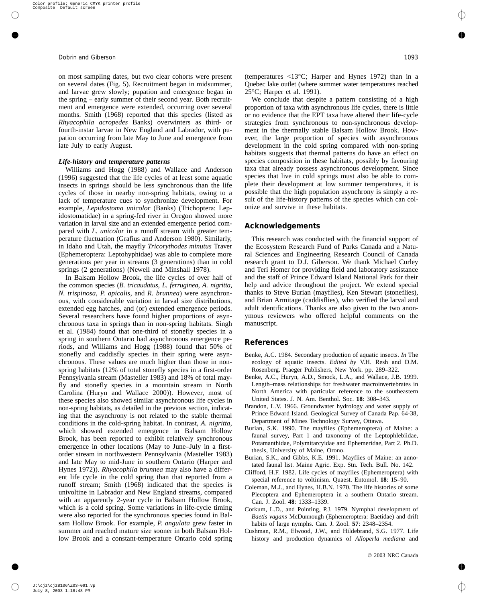on most sampling dates, but two clear cohorts were present on several dates (Fig. 5). Recruitment began in midsummer, and larvae grew slowly; pupation and emergence began in the spring – early summer of their second year. Both recruitment and emergence were extended, occurring over several months. Smith (1968) reported that this species (listed as *Rhyacophila acropedes* Banks) overwinters as third- or fourth-instar larvae in New England and Labrador, with pupation occurring from late May to June and emergence from late July to early August.

#### *Life-history and temperature patterns*

Williams and Hogg (1988) and Wallace and Anderson (1996) suggested that the life cycles of at least some aquatic insects in springs should be less synchronous than the life cycles of those in nearby non-spring habitats, owing to a lack of temperature cues to synchronize development. For example, *Lepidostoma unicolor* (Banks) (Trichoptera: Lepidostomatidae) in a spring-fed river in Oregon showed more variation in larval size and an extended emergence period compared with *L. unicolor* in a runoff stream with greater temperature fluctuation (Grafius and Anderson 1980). Similarly, in Idaho and Utah, the mayfly *Tricorythodes minutus* Traver (Ephemeroptera: Leptohyphidae) was able to complete more generations per year in streams (3 generations) than in cold springs (2 generations) (Newell and Minshall 1978).

In Balsam Hollow Brook, the life cycles of over half of the common species (*B. tricaudatus, L. ferruginea*, *A. nigritta, N. trispinosa, P. apicalis*, and *R. brunnea*) were asynchronous, with considerable variation in larval size distributions, extended egg hatches, and (or) extended emergence periods. Several researchers have found higher proportions of asynchronous taxa in springs than in non-spring habitats. Singh et al. (1984) found that one-third of stonefly species in a spring in southern Ontario had asynchronous emergence periods, and Williams and Hogg (1988) found that 50% of stonefly and caddisfly species in their spring were asynchronous. These values are much higher than those in nonspring habitats (12% of total stonefly species in a first-order Pennsylvania stream (Masteller 1983) and 18% of total mayfly and stonefly species in a mountain stream in North Carolina (Huryn and Wallace 2000)). However, most of these species also showed similar asynchronous life cycles in non-spring habitats, as detailed in the previous section, indicating that the asynchrony is not related to the stable thermal conditions in the cold-spring habitat. In contrast, *A. nigritta*, which showed extended emergence in Balsam Hollow Brook, has been reported to exhibit relatively synchronous emergence in other locations (May to June–July in a firstorder stream in northwestern Pennsylvania (Masteller 1983) and late May to mid-June in southern Ontario (Harper and Hynes 1972)). *Rhyacophila brunnea* may also have a different life cycle in the cold spring than that reported from a runoff stream; Smith (1968) indicated that the species is univoltine in Labrador and New England streams, compared with an apparently 2-year cycle in Balsam Hollow Brook, which is a cold spring. Some variations in life-cycle timing were also reported for the synchronous species found in Balsam Hollow Brook. For example, *P. angulata* grew faster in summer and reached mature size sooner in both Balsam Hollow Brook and a constant-temperature Ontario cold spring (temperatures <13°C; Harper and Hynes 1972) than in a Quebec lake outlet (where summer water temperatures reached 25°C; Harper et al. 1991).

We conclude that despite a pattern consisting of a high proportion of taxa with asynchronous life cycles, there is little or no evidence that the EPT taxa have altered their life-cycle strategies from synchronous to non-synchronous development in the thermally stable Balsam Hollow Brook. However, the large proportion of species with asynchronous development in the cold spring compared with non-spring habitats suggests that thermal patterns do have an effect on species composition in these habitats, possibly by favouring taxa that already possess asynchronous development. Since species that live in cold springs must also be able to complete their development at low summer temperatures, it is possible that the high population asynchrony is simply a result of the life-history patterns of the species which can colonize and survive in these habitats.

#### **Acknowledgements**

This research was conducted with the financial support of the Ecosystem Research Fund of Parks Canada and a Natural Sciences and Engineering Research Council of Canada research grant to D.J. Giberson. We thank Michael Curley and Teri Homer for providing field and laboratory assistance and the staff of Prince Edward Island National Park for their help and advice throughout the project. We extend special thanks to Steve Burian (mayflies), Ken Stewart (stoneflies), and Brian Armitage (caddisflies), who verified the larval and adult identifications. Thanks are also given to the two anonymous reviewers who offered helpful comments on the manuscript.

# **References**

- Benke, A.C. 1984. Secondary production of aquatic insects. *In* The ecology of aquatic insects. *Edited by* V.H. Resh and D.M. Rosenberg. Praeger Publishers, New York. pp. 289–322.
- Benke, A.C., Huryn, A.D., Smock, L.A., and Wallace, J.B. 1999. Length–mass relationships for freshwater macroinvertebrates in North America with particular reference to the southeastern United States. J. N. Am. Benthol. Soc. **18**: 308–343.
- Brandon, L.V. 1966. Groundwater hydrology and water supply of Prince Edward Island. Geological Survey of Canada Pap. 64-38, Department of Mines Technology Survey, Ottawa.
- Burian, S.K. 1990. The mayflies (Ephemeroptera) of Maine: a faunal survey, Part 1 and taxonomy of the Leptophlebiidae, Potamanthidae, Polymitarcyidae and Ephemeridae, Part 2. Ph.D. thesis, University of Maine, Orono.
- Burian, S.K., and Gibbs, K.E. 1991. Mayflies of Maine: an annotated faunal list. Maine Agric. Exp. Stn. Tech. Bull. No. 142.
- Clifford, H.F. 1982. Life cycles of mayflies (Ephemeroptera) with special reference to voltinism. Quaest. Entomol. **18**: 15–90.
- Coleman, M.J., and Hynes, H.B.N. 1970. The life histories of some Plecoptera and Ephemeroptera in a southern Ontario stream. Can. J. Zool. **48**: 1333–1339.
- Corkum, L.D., and Pointing, P.J. 1979. Nymphal development of *Baetis vagans* McDunnough (Ephemeroptera: Baetidae) and drift habits of large nymphs. Can. J. Zool. **57**: 2348–2354.
- Cushman, R.M., Elwood, J.W., and Hildebrand, S.G. 1977. Life history and production dynamics of *Alloperla mediana* and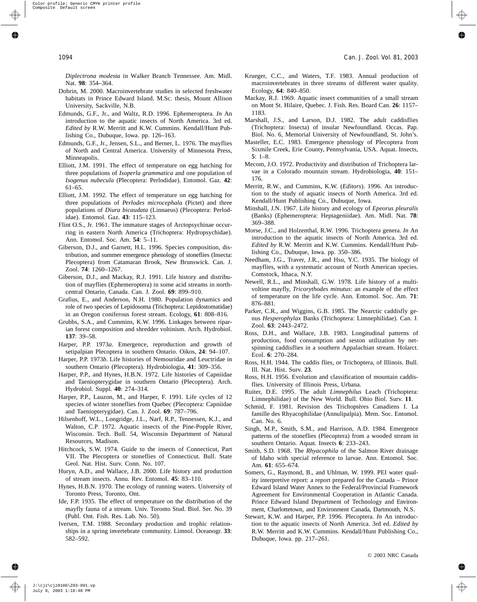*Diplectrona modesta* in Walker Branch Tennessee. Am. Midl. Nat. **98**: 354–364.

- Dobrin, M. 2000. Macroinvertebrate studies in selected freshwater habitats in Prince Edward Island. M.Sc. thesis, Mount Allison University, Sackville, N.B.
- Edmunds, G.F., Jr., and Waltz, R.D. 1996. Ephemeroptera. *In* An introduction to the aquatic insects of North America. 3rd ed. *Edited by* R.W. Merritt and K.W. Cummins. Kendall/Hunt Publishing Co., Dubuque, Iowa. pp. 126–163.
- Edmunds, G.F., Jr., Jensen, S.L., and Berner, L. 1976. The mayflies of North and Central America. University of Minnesota Press, Minneapolis.
- Elliott, J.M. 1991. The effect of temperature on egg hatching for three populations of *Isoperla grammatica* and one population of *Isogenus nubecula* (Plecoptera: Perlodidae). Entomol. Gaz. **42**: 61–65.
- Elliott, J.M. 1992. The effect of temperature on egg hatching for three populations of *Perlodes microcephala* (Pictet) and three populations of *Diura bicaudata* (Linnaeus) (Plecoptera: Perlodidae). Entomol. Gaz. **43**: 115–123.
- Flint O.S., Jr. 1961. The immature stages of Arctopsychinae occurring in eastern North America (Trichoptera: Hydropsychidae). Ann. Entomol. Soc. Am. **54**: 5–11.
- Giberson, D.J., and Garnett, H.L. 1996. Species composition, distribution, and summer emergence phenology of stoneflies (Insecta: Plecoptera) from Catamaran Brook, New Brunswick. Can. J. Zool. **74**: 1260–1267.
- Giberson, D.J., and Mackay, R.J. 1991. Life history and distribution of mayflies (Ephemeroptera) in some acid streams in northcentral Ontario, Canada. Can. J. Zool. **69**: 899–910.
- Grafius, E., and Anderson, N.H. 1980. Population dynamics and role of two species of Lepidosoma (Trichoptera: Lepidostomatidae) in an Oregon coniferous forest stream. Ecology, **61**: 808–816.
- Grubbs, S.A., and Cummins, K.W. 1996. Linkages between riparian forest composition and shredder voltinism. Arch. Hydrobiol. **137**: 39–58.
- Harper, P.P. 1973*a*. Emergence, reproduction and growth of setipalpian Plecoptera in southern Ontario. Oikos, **24**: 94–107.
- Harper, P.P. 1973*b*. Life histories of Nemouridae and Leuctridae in southern Ontario (Plecoptera). Hydrobiologia, **41**: 309–356.
- Harper, P.P., and Hynes, H.B.N. 1972. Life histories of Capniidae and Taeniopterygidae in southern Ontario (Plecoptera). Arch. Hydrobiol. Suppl. **40**: 274–314.
- Harper, P.P., Lauzon, M., and Harper, F. 1991. Life cycles of 12 species of winter stoneflies from Quebec (Plecoptera: Capniidae and Taeniopterygidae). Can. J. Zool. **69**: 787–796.
- Hilsenhoff, W.L., Longridge, J.L., Narf, R.P., Tennessen, K.J., and Walton, C.P. 1972. Aquatic insects of the Pine-Popple River, Wisconsin. Tech. Bull. 54, Wisconsin Department of Natural Resources, Madison.
- Hitchcock, S.W. 1974. Guide to the insects of Connecticut, Part VII. The Plecoptera or stoneflies of Connecticut. Bull. State Geol. Nat. Hist. Surv. Conn. No. 107.
- Huryn, A.D., and Wallace, J.B. 2000. Life history and production of stream insects. Annu. Rev. Entomol. **45**: 83–110.
- Hynes, H.B.N. 1970. The ecology of running waters. University of Toronto Press, Toronto, Ont.
- Ide, F.P. 1935. The effect of temperature on the distribution of the mayfly fauna of a stream. Univ. Toronto Stud. Biol. Ser. No. 39 (Publ. Ont. Fish. Res. Lab. No. 50).
- Iversen, T.M. 1988. Secondary production and trophic relationships in a spring invertebrate community. Limnol. Oceanogr. **33**: 582–592.
- Krueger, C.C., and Waters, T.F. 1983. Annual production of macroinvertebrates in three streams of different water quality. Ecology, **64**: 840–850.
- Mackay, R.J. 1969. Aquatic insect communities of a small stream on Mont St. Hilaire, Quebec. J. Fish. Res. Board Can. **26**: 1157– 1183.
- Marshall, J.S., and Larson, D.J. 1982. The adult caddisflies (Trichoptera: Insecta) of insular Newfoundland. Occas. Pap. Biol. No. 6, Memorial University of Newfoundland, St. John's.
- Masteller, E.C. 1983. Emergence phenology of Plecoptera from Sixmile Creek, Erie County, Pennsylvania, USA. Aquat. Insects, **5**: 1–8.
- Mecom, J.O. 1972. Productivity and distribution of Trichoptera larvae in a Colorado mountain stream. Hydrobiologia, **40**: 151– 176.
- Merritt, R.W., and Cummins, K.W. (*Editors*). 1996. An introduction to the study of aquatic insects of North America. 3rd ed. Kendall/Hunt Publishing Co., Dubuque, Iowa.
- Minshall, J.N. 1967. Life history and ecology of *Epeorus pleuralis* (Banks) (Ephemeroptera: Heptageniidae). Am. Midl. Nat. **78**: 369–388.
- Morse, J.C., and Holzenthal, R.W. 1996. Trichoptera genera. *In* An introduction to the aquatic insects of North America. 3rd ed. *Edited by* R.W. Merritt and K.W. Cummins. Kendall/Hunt Publishing Co., Dubuque, Iowa. pp. 350–386.
- Needham, J.G., Traver, J.R., and Hsu, Y.C. 1935. The biology of mayflies, with a systematic account of North American species. Comstock, Ithaca, N.Y.
- Newell, R.L., and Minshall, G.W. 1978. Life history of a multivoltine mayfly, *Tricorythodes minutus*: an example of the effect of temperature on the life cycle. Ann. Entomol. Soc. Am. **71**: 876–881.
- Parker, C.R., and Wiggins, G.B. 1985. The Nearctic caddisfly genus *Hesperophylax* Banks (Trichoptera: Limnephilidae). Can. J. Zool. **63**: 2443–2472.
- Ross, D.H., and Wallace, J.B. 1983. Longitudinal patterns of production, food consumption and seston utilization by netspinning caddisflies in a southern Appalachian stream. Holarct. Ecol. **6**: 270–284.
- Ross, H.H. 1944. The caddis flies, or Trichoptera, of Illinois. Bull. Ill. Nat. Hist. Surv. **23**.
- Ross, H.H. 1956. Evolution and classification of mountain caddisflies. University of Illinois Press, Urbana.
- Ruiter, D.E. 1995. The adult *Limnephilus* Leach (Trichoptera: Limnephilidae) of the New World. Bull. Ohio Biol. Surv. **11**.
- Schmid, F. 1981. Revision des Trichoptères Canadiens I. La famille des Rhyacophilidae (Annulipalpia). Mem. Soc. Entomol. Can. No. 6.
- Singh, M.P., Smith, S.M., and Harrison, A.D. 1984. Emergence patterns of the stoneflies (Plecoptera) from a wooded stream in southern Ontario. Aquat. Insects **6**: 233–243.
- Smith, S.D. 1968. The *Rhyacophila* of the Salmon River drainage of Idaho with special reference to larvae. Ann. Entomol. Soc. Am. **61**: 655–674.
- Somers, G., Raymond, B., and Uhlman, W. 1999. PEI water quality interpretive report: a report prepared for the Canada – Prince Edward Island Water Annex to the Federal/Provincial Framework Agreement for Environmental Cooperation in Atlantic Canada. Prince Edward Island Department of Technology and Environment, Charlottetown, and Environment Canada, Dartmouth, N.S.
- Stewart, K.W. and Harper, P.P. 1996. Plecoptera. *In* An introduction to the aquatic insects of North America. 3rd ed. *Edited by* R.W. Merritt and K.W. Cummins. Kendall/Hunt Publishing Co., Dubuque, Iowa. pp. 217–261.